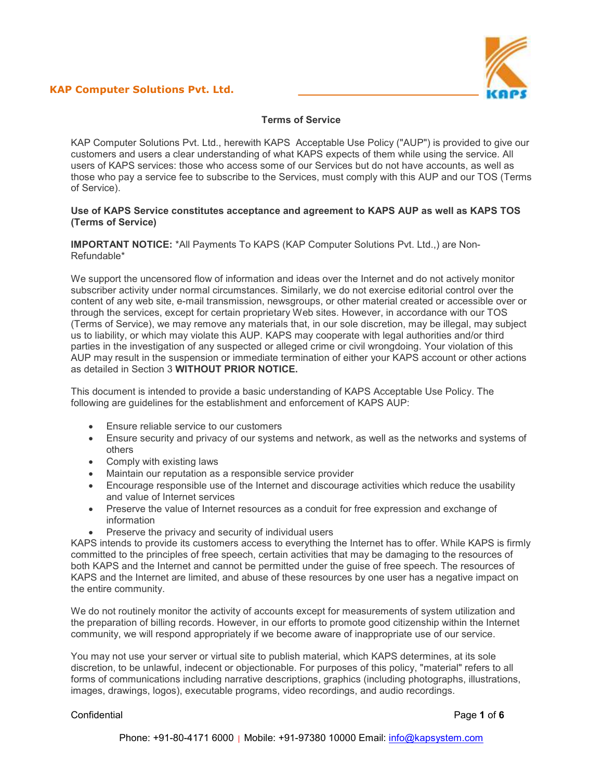

# **Terms of Service**

KAP Computer Solutions Pvt. Ltd., herewith KAPS Acceptable Use Policy ("AUP") is provided to give our customers and users a clear understanding of what KAPS expects of them while using the service. All users of KAPS services: those who access some of our Services but do not have accounts, as well as those who pay a service fee to subscribe to the Services, must comply with this AUP and our TOS (Terms of Service).

#### **Use of KAPS Service constitutes acceptance and agreement to KAPS AUP as well as KAPS TOS (Terms of Service)**

**IMPORTANT NOTICE:** \*All Payments To KAPS (KAP Computer Solutions Pvt. Ltd.,) are Non-Refundable\*

We support the uncensored flow of information and ideas over the Internet and do not actively monitor subscriber activity under normal circumstances. Similarly, we do not exercise editorial control over the content of any web site, e-mail transmission, newsgroups, or other material created or accessible over or through the services, except for certain proprietary Web sites. However, in accordance with our TOS (Terms of Service), we may remove any materials that, in our sole discretion, may be illegal, may subject us to liability, or which may violate this AUP. KAPS may cooperate with legal authorities and/or third parties in the investigation of any suspected or alleged crime or civil wrongdoing. Your violation of this AUP may result in the suspension or immediate termination of either your KAPS account or other actions as detailed in Section 3 **WITHOUT PRIOR NOTICE.**

This document is intended to provide a basic understanding of KAPS Acceptable Use Policy. The following are guidelines for the establishment and enforcement of KAPS AUP:

- Ensure reliable service to our customers
- Ensure security and privacy of our systems and network, as well as the networks and systems of others
- Comply with existing laws
- Maintain our reputation as a responsible service provider
- Encourage responsible use of the Internet and discourage activities which reduce the usability and value of Internet services
- Preserve the value of Internet resources as a conduit for free expression and exchange of information
- Preserve the privacy and security of individual users

KAPS intends to provide its customers access to everything the Internet has to offer. While KAPS is firmly committed to the principles of free speech, certain activities that may be damaging to the resources of both KAPS and the Internet and cannot be permitted under the guise of free speech. The resources of KAPS and the Internet are limited, and abuse of these resources by one user has a negative impact on the entire community.

We do not routinely monitor the activity of accounts except for measurements of system utilization and the preparation of billing records. However, in our efforts to promote good citizenship within the Internet community, we will respond appropriately if we become aware of inappropriate use of our service.

You may not use your server or virtual site to publish material, which KAPS determines, at its sole discretion, to be unlawful, indecent or objectionable. For purposes of this policy, "material" refers to all forms of communications including narrative descriptions, graphics (including photographs, illustrations, images, drawings, logos), executable programs, video recordings, and audio recordings.

Confidential Page **1** of **6**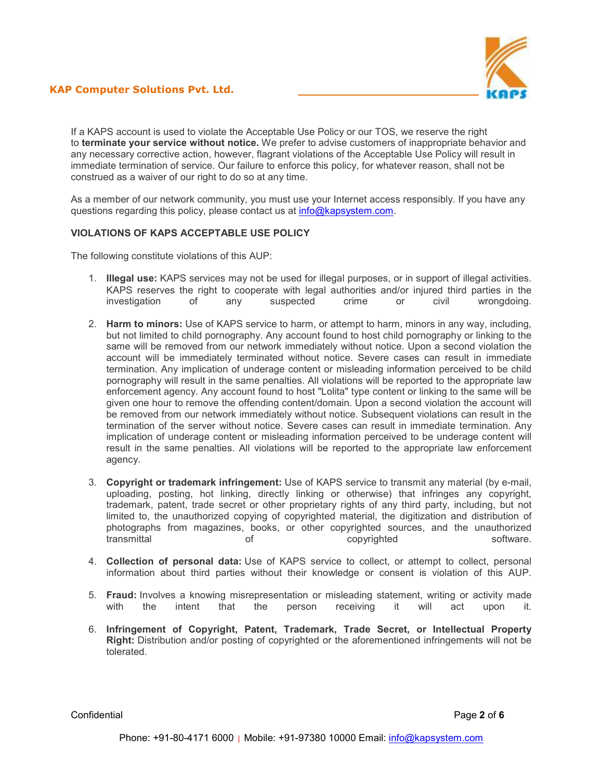

If a KAPS account is used to violate the Acceptable Use Policy or our TOS, we reserve the right to **terminate your service without notice.** We prefer to advise customers of inappropriate behavior and any necessary corrective action, however, flagrant violations of the Acceptable Use Policy will result in immediate termination of service. Our failure to enforce this policy, for whatever reason, shall not be construed as a waiver of our right to do so at any time.

As a member of our network community, you must use your Internet access responsibly. If you have any questions regarding this policy, please contact us at info@kapsystem.com.

## **VIOLATIONS OF KAPS ACCEPTABLE USE POLICY**

The following constitute violations of this AUP:

- 1. **Illegal use:** KAPS services may not be used for illegal purposes, or in support of illegal activities. KAPS reserves the right to cooperate with legal authorities and/or injured third parties in the investigation of any suspected crime or civil wrongdoing.
- 2. **Harm to minors:** Use of KAPS service to harm, or attempt to harm, minors in any way, including, but not limited to child pornography. Any account found to host child pornography or linking to the same will be removed from our network immediately without notice. Upon a second violation the account will be immediately terminated without notice. Severe cases can result in immediate termination. Any implication of underage content or misleading information perceived to be child pornography will result in the same penalties. All violations will be reported to the appropriate law enforcement agency. Any account found to host "Lolita" type content or linking to the same will be given one hour to remove the offending content/domain. Upon a second violation the account will be removed from our network immediately without notice. Subsequent violations can result in the termination of the server without notice. Severe cases can result in immediate termination. Any implication of underage content or misleading information perceived to be underage content will result in the same penalties. All violations will be reported to the appropriate law enforcement agency.
- 3. **Copyright or trademark infringement:** Use of KAPS service to transmit any material (by e-mail, uploading, posting, hot linking, directly linking or otherwise) that infringes any copyright, trademark, patent, trade secret or other proprietary rights of any third party, including, but not limited to, the unauthorized copying of copyrighted material, the digitization and distribution of photographs from magazines, books, or other copyrighted sources, and the unauthorized transmittal of copyrighted software.
- 4. **Collection of personal data:** Use of KAPS service to collect, or attempt to collect, personal information about third parties without their knowledge or consent is violation of this AUP.
- 5. **Fraud:** Involves a knowing misrepresentation or misleading statement, writing or activity made the intent that the person receiving it will act upon it.
- 6. **Infringement of Copyright, Patent, Trademark, Trade Secret, or Intellectual Property Right:** Distribution and/or posting of copyrighted or the aforementioned infringements will not be tolerated.

Confidential Page **2** of **6**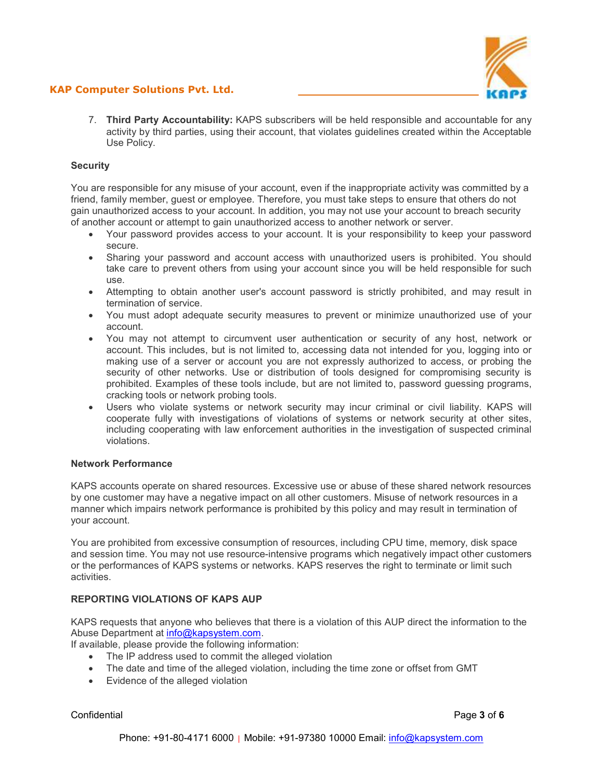# **KAP Computer Solutions Pvt. Ltd.**



7. **Third Party Accountability:** KAPS subscribers will be held responsible and accountable for any activity by third parties, using their account, that violates guidelines created within the Acceptable Use Policy.

## **Security**

You are responsible for any misuse of your account, even if the inappropriate activity was committed by a friend, family member, guest or employee. Therefore, you must take steps to ensure that others do not gain unauthorized access to your account. In addition, you may not use your account to breach security of another account or attempt to gain unauthorized access to another network or server.

- Your password provides access to your account. It is your responsibility to keep your password secure.
- Sharing your password and account access with unauthorized users is prohibited. You should take care to prevent others from using your account since you will be held responsible for such use.
- Attempting to obtain another user's account password is strictly prohibited, and may result in termination of service.
- You must adopt adequate security measures to prevent or minimize unauthorized use of your account.
- You may not attempt to circumvent user authentication or security of any host, network or account. This includes, but is not limited to, accessing data not intended for you, logging into or making use of a server or account you are not expressly authorized to access, or probing the security of other networks. Use or distribution of tools designed for compromising security is prohibited. Examples of these tools include, but are not limited to, password guessing programs, cracking tools or network probing tools.
- Users who violate systems or network security may incur criminal or civil liability. KAPS will cooperate fully with investigations of violations of systems or network security at other sites, including cooperating with law enforcement authorities in the investigation of suspected criminal violations.

#### **Network Performance**

KAPS accounts operate on shared resources. Excessive use or abuse of these shared network resources by one customer may have a negative impact on all other customers. Misuse of network resources in a manner which impairs network performance is prohibited by this policy and may result in termination of your account.

You are prohibited from excessive consumption of resources, including CPU time, memory, disk space and session time. You may not use resource-intensive programs which negatively impact other customers or the performances of KAPS systems or networks. KAPS reserves the right to terminate or limit such activities.

## **REPORTING VIOLATIONS OF KAPS AUP**

KAPS requests that anyone who believes that there is a violation of this AUP direct the information to the Abuse Department at info@kapsystem.com.

If available, please provide the following information:

- The IP address used to commit the alleged violation
- The date and time of the alleged violation, including the time zone or offset from GMT
- Evidence of the alleged violation

Confidential Page **3** of **6**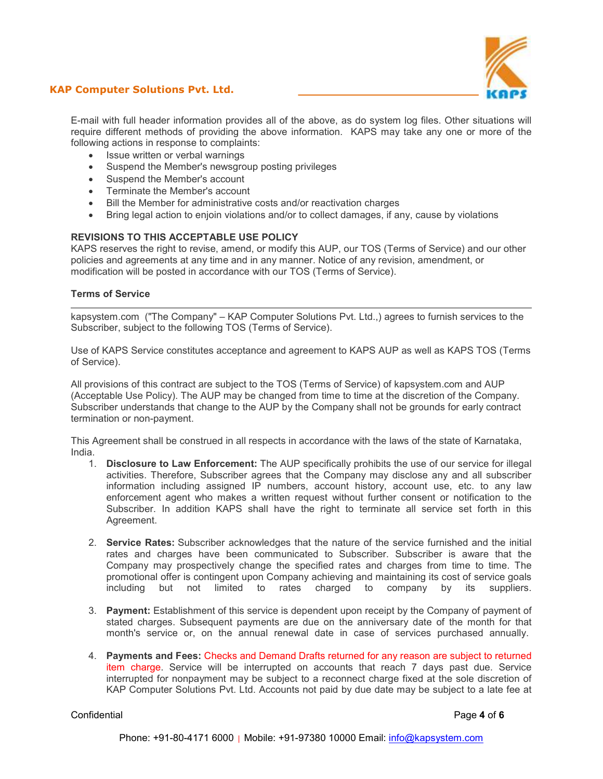

## **KAP Computer Solutions Pvt. Ltd.**

E-mail with full header information provides all of the above, as do system log files. Other situations will require different methods of providing the above information. KAPS may take any one or more of the following actions in response to complaints:

- Issue written or verbal warnings
- Suspend the Member's newsgroup posting privileges
- Suspend the Member's account
- Terminate the Member's account
- Bill the Member for administrative costs and/or reactivation charges
- Bring legal action to enjoin violations and/or to collect damages, if any, cause by violations

## **REVISIONS TO THIS ACCEPTABLE USE POLICY**

KAPS reserves the right to revise, amend, or modify this AUP, our TOS (Terms of Service) and our other policies and agreements at any time and in any manner. Notice of any revision, amendment, or modification will be posted in accordance with our TOS (Terms of Service).

#### **Terms of Service**

kapsystem.com ("The Company" – KAP Computer Solutions Pvt. Ltd.,) agrees to furnish services to the Subscriber, subject to the following TOS (Terms of Service).

Use of KAPS Service constitutes acceptance and agreement to KAPS AUP as well as KAPS TOS (Terms of Service).

All provisions of this contract are subject to the TOS (Terms of Service) of kapsystem.com and AUP (Acceptable Use Policy). The AUP may be changed from time to time at the discretion of the Company. Subscriber understands that change to the AUP by the Company shall not be grounds for early contract termination or non-payment.

This Agreement shall be construed in all respects in accordance with the laws of the state of Karnataka, India.

- 1. **Disclosure to Law Enforcement:** The AUP specifically prohibits the use of our service for illegal activities. Therefore, Subscriber agrees that the Company may disclose any and all subscriber information including assigned  $IP$  numbers, account history, account use, etc. to any law enforcement agent who makes a written request without further consent or notification to the Subscriber. In addition KAPS shall have the right to terminate all service set forth in this Agreement.
- 2. **Service Rates:** Subscriber acknowledges that the nature of the service furnished and the initial rates and charges have been communicated to Subscriber. Subscriber is aware that the Company may prospectively change the specified rates and charges from time to time. The promotional offer is contingent upon Company achieving and maintaining its cost of service goals including but not limited to rates charged to company by its suppliers.
- 3. **Payment:** Establishment of this service is dependent upon receipt by the Company of payment of stated charges. Subsequent payments are due on the anniversary date of the month for that month's service or, on the annual renewal date in case of services purchased annually.
- 4. **Payments and Fees:** Checks and Demand Drafts returned for any reason are subject to returned item charge. Service will be interrupted on accounts that reach 7 days past due. Service interrupted for nonpayment may be subject to a reconnect charge fixed at the sole discretion of KAP Computer Solutions Pvt. Ltd. Accounts not paid by due date may be subject to a late fee at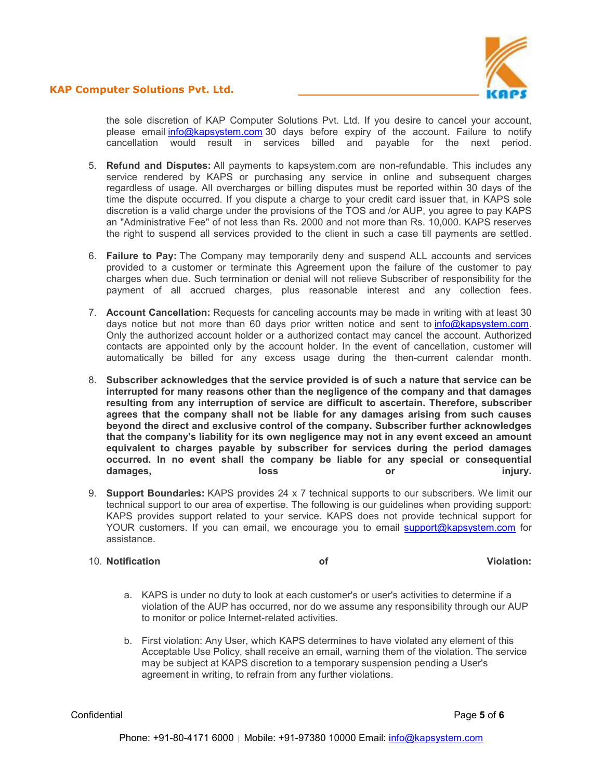



the sole discretion of KAP Computer Solutions Pvt. Ltd. If you desire to cancel your account, please email info@kapsystem.com 30 days before expiry of the account. Failure to notify cancellation would result in services billed and payable for the next period.

- 5. **Refund and Disputes:** All payments to kapsystem.com are non-refundable. This includes any service rendered by KAPS or purchasing any service in online and subsequent charges regardless of usage. All overcharges or billing disputes must be reported within 30 days of the time the dispute occurred. If you dispute a charge to your credit card issuer that, in KAPS sole discretion is a valid charge under the provisions of the TOS and /or AUP, you agree to pay KAPS an "Administrative Fee" of not less than Rs. 2000 and not more than Rs. 10,000. KAPS reserves the right to suspend all services provided to the client in such a case till payments are settled.
- 6. **Failure to Pay:** The Company may temporarily deny and suspend ALL accounts and services provided to a customer or terminate this Agreement upon the failure of the customer to pay charges when due. Such termination or denial will not relieve Subscriber of responsibility for the payment of all accrued charges, plus reasonable interest and any collection fees.
- 7. **Account Cancellation:** Requests for canceling accounts may be made in writing with at least 30 days notice but not more than 60 days prior written notice and sent to info@kapsystem.com. Only the authorized account holder or a authorized contact may cancel the account. Authorized contacts are appointed only by the account holder. In the event of cancellation, customer will automatically be billed for any excess usage during the then-current calendar month.
- 8. **Subscriber acknowledges that the service provided is of such a nature that service can be interrupted for many reasons other than the negligence of the company and that damages resulting from any interruption of service are difficult to ascertain. Therefore, subscriber agrees that the company shall not be liable for any damages arising from such causes beyond the direct and exclusive control of the company. Subscriber further acknowledges that the company's liability for its own negligence may not in any event exceed an amount equivalent to charges payable by subscriber for services during the period damages occurred. In no event shall the company be liable for any special or consequential**  damages, loss or injury.
- 9. **Support Boundaries:** KAPS provides 24 x 7 technical supports to our subscribers. We limit our technical support to our area of expertise. The following is our guidelines when providing support: KAPS provides support related to your service. KAPS does not provide technical support for YOUR customers. If you can email, we encourage you to email support@kapsystem.com for assistance.

#### 10. **Notification of Violation:**

- a. KAPS is under no duty to look at each customer's or user's activities to determine if a violation of the AUP has occurred, nor do we assume any responsibility through our AUP to monitor or police Internet-related activities.
- b. First violation: Any User, which KAPS determines to have violated any element of this Acceptable Use Policy, shall receive an email, warning them of the violation. The service may be subject at KAPS discretion to a temporary suspension pending a User's agreement in writing, to refrain from any further violations.

Confidential Page **5** of **6**